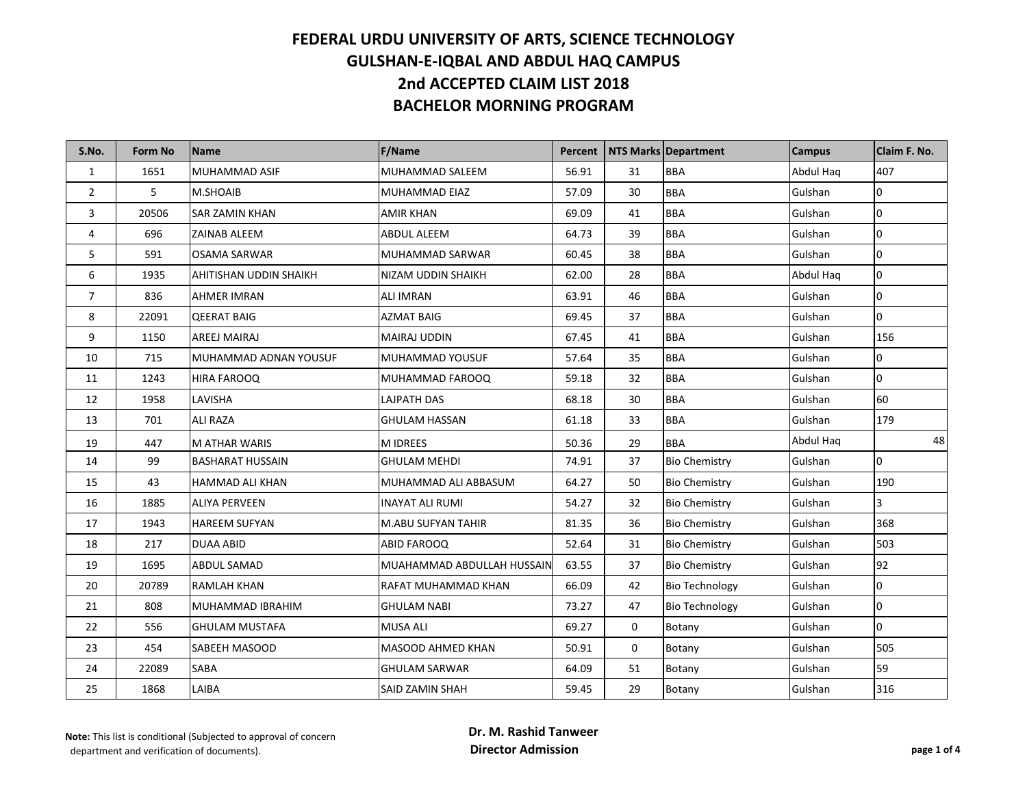| S.No.          | <b>Form No</b> | <b>Name</b>             | <b>F/Name</b>              | Percent |    | NTS Marks Department  | <b>Campus</b> | Claim F. No.   |
|----------------|----------------|-------------------------|----------------------------|---------|----|-----------------------|---------------|----------------|
| $\mathbf{1}$   | 1651           | MUHAMMAD ASIF           | MUHAMMAD SALEEM            | 56.91   | 31 | <b>BBA</b>            | Abdul Hag     | 407            |
| $\overline{2}$ | 5              | M.SHOAIB                | MUHAMMAD EIAZ              | 57.09   | 30 | <b>BBA</b>            | Gulshan       | 0              |
| 3              | 20506          | SAR ZAMIN KHAN          | AMIR KHAN                  | 69.09   | 41 | <b>BBA</b>            | Gulshan       | 10             |
| 4              | 696            | ZAINAB ALEEM            | <b>ABDUL ALEEM</b>         | 64.73   | 39 | <b>BBA</b>            | Gulshan       | 0              |
| 5              | 591            | OSAMA SARWAR            | MUHAMMAD SARWAR            | 60.45   | 38 | BBA                   | Gulshan       | 0              |
| 6              | 1935           | AHITISHAN UDDIN SHAIKH  | NIZAM UDDIN SHAIKH         | 62.00   | 28 | <b>BBA</b>            | Abdul Haq     | 0              |
| $\overline{7}$ | 836            | <b>AHMER IMRAN</b>      | ALI IMRAN                  | 63.91   | 46 | <b>BBA</b>            | Gulshan       | $\overline{0}$ |
| 8              | 22091          | <b>QEERAT BAIG</b>      | <b>AZMAT BAIG</b>          | 69.45   | 37 | BBA                   | Gulshan       | 0              |
| 9              | 1150           | AREEJ MAIRAJ            | MAIRAJ UDDIN               | 67.45   | 41 | <b>BBA</b>            | Gulshan       | 156            |
| 10             | 715            | MUHAMMAD ADNAN YOUSUF   | MUHAMMAD YOUSUF            | 57.64   | 35 | <b>BBA</b>            | Gulshan       | $\overline{0}$ |
| 11             | 1243           | HIRA FAROOQ             | MUHAMMAD FAROOQ            | 59.18   | 32 | <b>BBA</b>            | Gulshan       | 0              |
| 12             | 1958           | LAVISHA                 | LAJPATH DAS                | 68.18   | 30 | <b>BBA</b>            | Gulshan       | 60             |
| 13             | 701            | <b>ALI RAZA</b>         | GHULAM HASSAN              | 61.18   | 33 | <b>BBA</b>            | Gulshan       | 179            |
| 19             | 447            | <b>M ATHAR WARIS</b>    | <b>MIDREES</b>             | 50.36   | 29 | <b>BBA</b>            | Abdul Haq     | 48             |
| 14             | 99             | <b>BASHARAT HUSSAIN</b> | <b>GHULAM MEHDI</b>        | 74.91   | 37 | <b>Bio Chemistry</b>  | Gulshan       | 0              |
| 15             | 43             | HAMMAD ALI KHAN         | MUHAMMAD ALI ABBASUM       | 64.27   | 50 | <b>Bio Chemistry</b>  | Gulshan       | 190            |
| 16             | 1885           | <b>ALIYA PERVEEN</b>    | <b>INAYAT ALI RUMI</b>     | 54.27   | 32 | <b>Bio Chemistry</b>  | Gulshan       | 3              |
| 17             | 1943           | <b>HAREEM SUFYAN</b>    | M.ABU SUFYAN TAHIR         | 81.35   | 36 | <b>Bio Chemistry</b>  | Gulshan       | 368            |
| 18             | 217            | <b>DUAA ABID</b>        | ABID FAROOQ                | 52.64   | 31 | <b>Bio Chemistry</b>  | Gulshan       | 503            |
| 19             | 1695           | ABDUL SAMAD             | MUAHAMMAD ABDULLAH HUSSAIN | 63.55   | 37 | <b>Bio Chemistry</b>  | Gulshan       | 92             |
| 20             | 20789          | <b>RAMLAH KHAN</b>      | RAFAT MUHAMMAD KHAN        | 66.09   | 42 | <b>Bio Technology</b> | Gulshan       | 0              |
| 21             | 808            | MUHAMMAD IBRAHIM        | GHULAM NABI                | 73.27   | 47 | <b>Bio Technology</b> | Gulshan       | 0              |
| 22             | 556            | GHULAM MUSTAFA          | <b>MUSA ALI</b>            | 69.27   | 0  | Botany                | Gulshan       | 0              |
| 23             | 454            | SABEEH MASOOD           | MASOOD AHMED KHAN          | 50.91   | 0  | Botany                | Gulshan       | 505            |
| 24             | 22089          | SABA                    | <b>GHULAM SARWAR</b>       | 64.09   | 51 | Botany                | Gulshan       | 59             |
| 25             | 1868           | LAIBA                   | SAID ZAMIN SHAH            | 59.45   | 29 | Botany                | Gulshan       | 316            |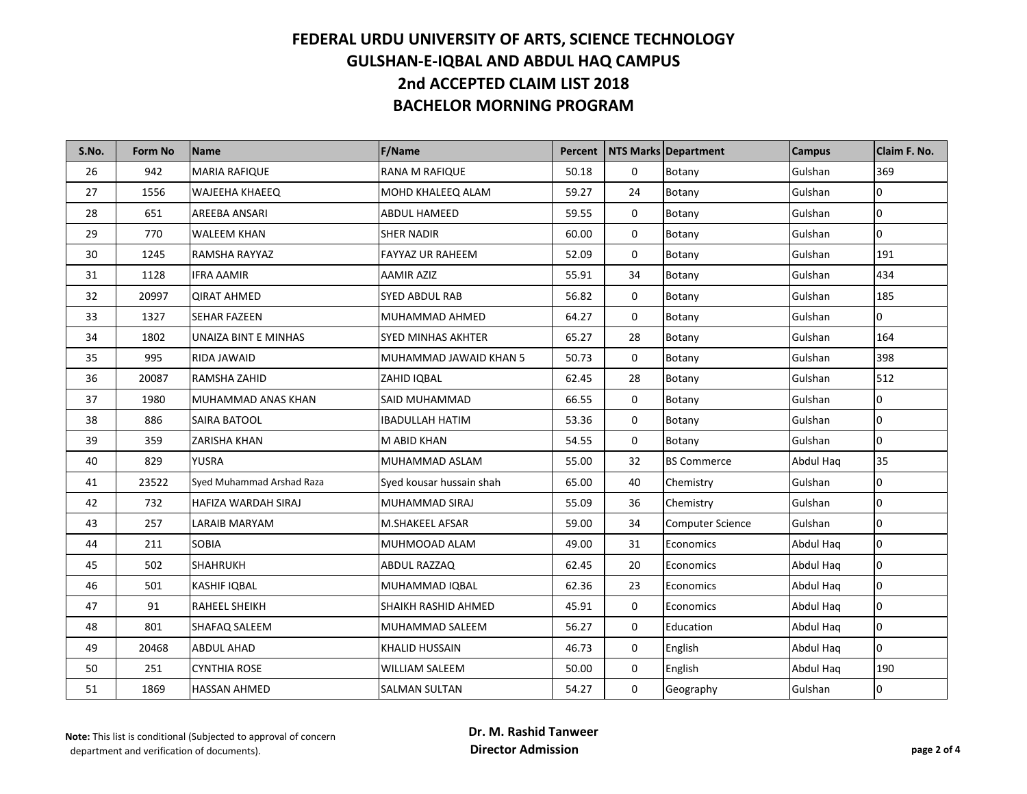| S.No. | <b>Form No</b> | Name                       | <b>F/Name</b>             | Percent |                  | NTS Marks Department    | <b>Campus</b> | Claim F. No.   |
|-------|----------------|----------------------------|---------------------------|---------|------------------|-------------------------|---------------|----------------|
| 26    | 942            | <b>MARIA RAFIQUE</b>       | <b>RANA M RAFIQUE</b>     | 50.18   | $\mathbf 0$      | Botany                  | Gulshan       | 369            |
| 27    | 1556           | <b>WAJEEHA KHAEEQ</b>      | MOHD KHALEEQ ALAM         | 59.27   | 24               | Botany                  | Gulshan       | $\overline{0}$ |
| 28    | 651            | AREEBA ANSARI              | <b>ABDUL HAMEED</b>       | 59.55   | 0                | Botany                  | Gulshan       | $\overline{0}$ |
| 29    | 770            | <b>WALEEM KHAN</b>         | <b>SHER NADIR</b>         | 60.00   | $\mathbf 0$      | Botany                  | Gulshan       | $\overline{0}$ |
| 30    | 1245           | RAMSHA RAYYAZ              | <b>FAYYAZ UR RAHEEM</b>   | 52.09   | $\mathbf 0$      | Botany                  | Gulshan       | 191            |
| 31    | 1128           | <b>IFRA AAMIR</b>          | <b>AAMIR AZIZ</b>         | 55.91   | 34               | Botany                  | Gulshan       | 434            |
| 32    | 20997          | <b>QIRAT AHMED</b>         | <b>SYED ABDUL RAB</b>     | 56.82   | 0                | Botany                  | Gulshan       | 185            |
| 33    | 1327           | <b>SEHAR FAZEEN</b>        | MUHAMMAD AHMED            | 64.27   | $\mathbf 0$      | Botany                  | Gulshan       | $\overline{0}$ |
| 34    | 1802           | UNAIZA BINT E MINHAS       | <b>SYED MINHAS AKHTER</b> | 65.27   | 28               | Botany                  | Gulshan       | 164            |
| 35    | 995            | RIDA JAWAID                | MUHAMMAD JAWAID KHAN 5    | 50.73   | $\mathbf 0$      | Botany                  | Gulshan       | 398            |
| 36    | 20087          | RAMSHA ZAHID               | ZAHID IQBAL               | 62.45   | 28               | Botany                  | Gulshan       | 512            |
| 37    | 1980           | MUHAMMAD ANAS KHAN         | SAID MUHAMMAD             | 66.55   | 0                | Botany                  | Gulshan       | $\overline{0}$ |
| 38    | 886            | SAIRA BATOOL               | <b>IBADULLAH HATIM</b>    | 53.36   | $\mathbf 0$      | Botany                  | Gulshan       | $\overline{0}$ |
| 39    | 359            | <b>ZARISHA KHAN</b>        | M ABID KHAN               | 54.55   | 0                | Botany                  | Gulshan       | $\overline{0}$ |
| 40    | 829            | <b>YUSRA</b>               | MUHAMMAD ASLAM            | 55.00   | 32               | <b>BS Commerce</b>      | Abdul Haq     | 35             |
| 41    | 23522          | Syed Muhammad Arshad Raza  | Syed kousar hussain shah  | 65.00   | 40               | Chemistry               | Gulshan       | $\overline{0}$ |
| 42    | 732            | <b>HAFIZA WARDAH SIRAJ</b> | MUHAMMAD SIRAJ            | 55.09   | 36               | Chemistry               | Gulshan       | $\overline{0}$ |
| 43    | 257            | <b>LARAIB MARYAM</b>       | M.SHAKEEL AFSAR           | 59.00   | 34               | <b>Computer Science</b> | Gulshan       | $\overline{0}$ |
| 44    | 211            | <b>SOBIA</b>               | MUHMOOAD ALAM             | 49.00   | 31               | Economics               | Abdul Hag     | $\overline{0}$ |
| 45    | 502            | <b>SHAHRUKH</b>            | ABDUL RAZZAQ              | 62.45   | 20               | Economics               | Abdul Hag     | $\overline{0}$ |
| 46    | 501            | <b>KASHIF IQBAL</b>        | MUHAMMAD IQBAL            | 62.36   | 23               | Economics               | Abdul Haq     | $\overline{0}$ |
| 47    | 91             | <b>RAHEEL SHEIKH</b>       | SHAIKH RASHID AHMED       | 45.91   | 0                | Economics               | Abdul Hag     | $\overline{0}$ |
| 48    | 801            | SHAFAQ SALEEM              | MUHAMMAD SALEEM           | 56.27   | 0                | Education               | Abdul Hag     | $\overline{0}$ |
| 49    | 20468          | <b>ABDUL AHAD</b>          | <b>KHALID HUSSAIN</b>     | 46.73   | $\mathbf 0$      | English                 | Abdul Haq     | $\overline{0}$ |
| 50    | 251            | <b>CYNTHIA ROSE</b>        | <b>WILLIAM SALEEM</b>     | 50.00   | $\boldsymbol{0}$ | English                 | Abdul Haq     | 190            |
| 51    | 1869           | <b>HASSAN AHMED</b>        | <b>SALMAN SULTAN</b>      | 54.27   | $\mathbf 0$      | Geography               | Gulshan       | $\overline{0}$ |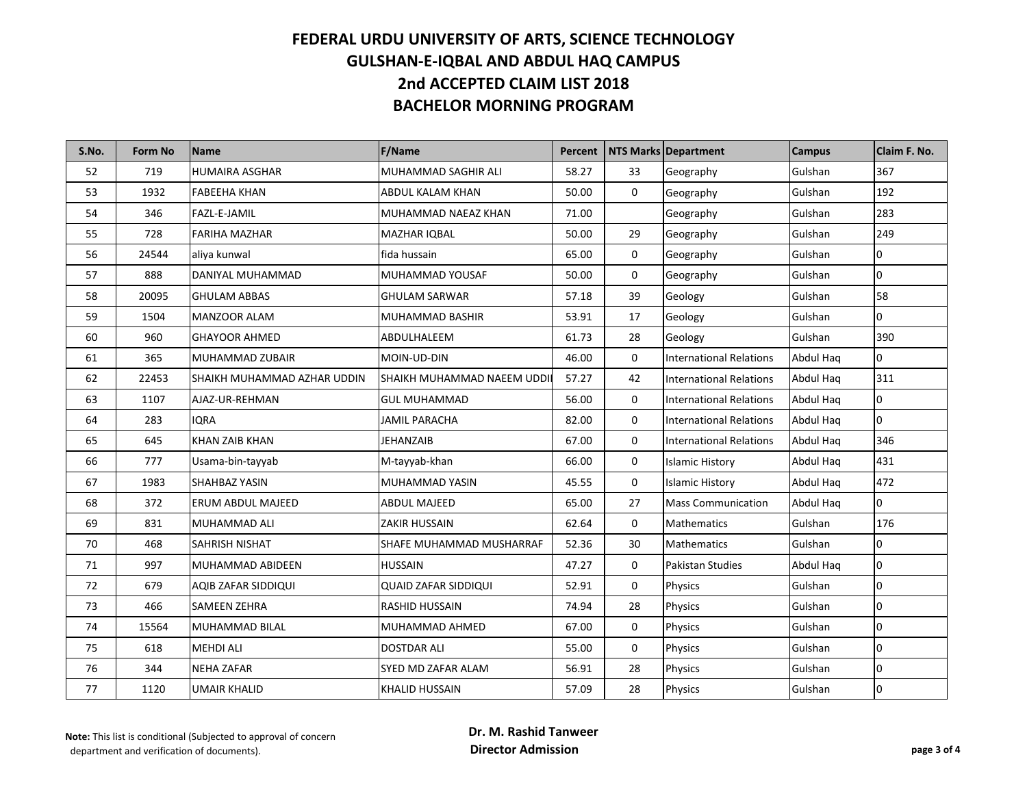| S.No. | <b>Form No</b> | Name                        | <b>F/Name</b>               | Percent |    | NTS Marks Department           | <b>Campus</b> | Claim F. No.   |
|-------|----------------|-----------------------------|-----------------------------|---------|----|--------------------------------|---------------|----------------|
| 52    | 719            | <b>HUMAIRA ASGHAR</b>       | MUHAMMAD SAGHIR ALI         | 58.27   | 33 | Geography                      | Gulshan       | 367            |
| 53    | 1932           | <b>FABEEHA KHAN</b>         | ABDUL KALAM KHAN            | 50.00   | 0  | Geography                      | Gulshan       | 192            |
| 54    | 346            | FAZL-E-JAMIL                | MUHAMMAD NAEAZ KHAN         | 71.00   |    | Geography                      | Gulshan       | 283            |
| 55    | 728            | <b>FARIHA MAZHAR</b>        | MAZHAR IQBAL                | 50.00   | 29 | Geography                      | Gulshan       | 249            |
| 56    | 24544          | aliya kunwal                | fida hussain                | 65.00   | 0  | Geography                      | Gulshan       | $\overline{0}$ |
| 57    | 888            | DANIYAL MUHAMMAD            | MUHAMMAD YOUSAF             | 50.00   | 0  | Geography                      | Gulshan       | 0              |
| 58    | 20095          | <b>GHULAM ABBAS</b>         | GHULAM SARWAR               | 57.18   | 39 | Geology                        | Gulshan       | 58             |
| 59    | 1504           | MANZOOR ALAM                | MUHAMMAD BASHIR             | 53.91   | 17 | Geology                        | Gulshan       | $\overline{0}$ |
| 60    | 960            | <b>GHAYOOR AHMED</b>        | ABDULHALEEM                 | 61.73   | 28 | Geology                        | Gulshan       | 390            |
| 61    | 365            | MUHAMMAD ZUBAIR             | MOIN-UD-DIN                 | 46.00   | 0  | <b>International Relations</b> | Abdul Hag     | 0              |
| 62    | 22453          | SHAIKH MUHAMMAD AZHAR UDDIN | SHAIKH MUHAMMAD NAEEM UDDI  | 57.27   | 42 | <b>International Relations</b> | Abdul Haq     | 311            |
| 63    | 1107           | AJAZ-UR-REHMAN              | <b>GUL MUHAMMAD</b>         | 56.00   | 0  | <b>International Relations</b> | Abdul Haq     | 0              |
| 64    | 283            | <b>IORA</b>                 | <b>JAMIL PARACHA</b>        | 82.00   | 0  | <b>International Relations</b> | Abdul Haq     | 0              |
| 65    | 645            | <b>KHAN ZAIB KHAN</b>       | JEHANZAIB                   | 67.00   | 0  | <b>International Relations</b> | Abdul Haq     | 346            |
| 66    | 777            | Usama-bin-tayyab            | M-tayyab-khan               | 66.00   | 0  | <b>Islamic History</b>         | Abdul Hag     | 431            |
| 67    | 1983           | SHAHBAZ YASIN               | MUHAMMAD YASIN              | 45.55   | 0  | <b>Islamic History</b>         | Abdul Haq     | 472            |
| 68    | 372            | ERUM ABDUL MAJEED           | <b>ABDUL MAJEED</b>         | 65.00   | 27 | <b>Mass Communication</b>      | Abdul Haq     | 0              |
| 69    | 831            | MUHAMMAD ALI                | ZAKIR HUSSAIN               | 62.64   | 0  | <b>Mathematics</b>             | Gulshan       | 176            |
| 70    | 468            | SAHRISH NISHAT              | SHAFE MUHAMMAD MUSHARRAF    | 52.36   | 30 | <b>Mathematics</b>             | Gulshan       | 0              |
| 71    | 997            | MUHAMMAD ABIDEEN            | HUSSAIN                     | 47.27   | 0  | Pakistan Studies               | Abdul Haq     | 10             |
| 72    | 679            | AQIB ZAFAR SIDDIQUI         | <b>QUAID ZAFAR SIDDIQUI</b> | 52.91   | 0  | Physics                        | Gulshan       | 0              |
| 73    | 466            | <b>SAMEEN ZEHRA</b>         | <b>RASHID HUSSAIN</b>       | 74.94   | 28 | Physics                        | Gulshan       | 0              |
| 74    | 15564          | MUHAMMAD BILAL              | MUHAMMAD AHMED              | 67.00   | 0  | Physics                        | Gulshan       | 0              |
| 75    | 618            | <b>MEHDI ALI</b>            | <b>DOSTDAR ALI</b>          | 55.00   | 0  | Physics                        | Gulshan       | 0              |
| 76    | 344            | <b>NEHA ZAFAR</b>           | SYED MD ZAFAR ALAM          | 56.91   | 28 | Physics                        | Gulshan       | 0              |
| 77    | 1120           | UMAIR KHALID                | <b>KHALID HUSSAIN</b>       | 57.09   | 28 | Physics                        | Gulshan       | 0              |